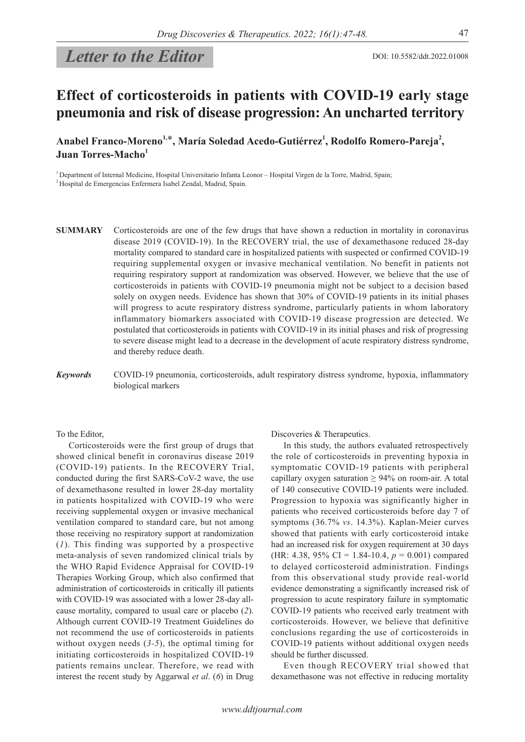# *Letter to the Editor*

# **Effect of corticosteroids in patients with COVID-19 early stage pneumonia and risk of disease progression: An uncharted territory**

Anabel Franco-Moreno<sup>1,\*</sup>, María Soledad Acedo-Gutiérrez<sup>1</sup>, Rodolfo Romero-Pareja<sup>2</sup>, **Juan Torres-Macho<sup>1</sup>**

<sup>1</sup> Department of Internal Medicine, Hospital Universitario Infanta Leonor – Hospital Virgen de la Torre, Madrid, Spain; 2 Hospital de Emergencias Enfermera Isabel Zendal, Madrid, Spain.

- **SUMMARY** Corticosteroids are one of the few drugs that have shown a reduction in mortality in coronavirus disease 2019 (COVID-19). In the RECOVERY trial, the use of dexamethasone reduced 28-day mortality compared to standard care in hospitalized patients with suspected or confirmed COVID-19 requiring supplemental oxygen or invasive mechanical ventilation. No benefit in patients not requiring respiratory support at randomization was observed. However, we believe that the use of corticosteroids in patients with COVID-19 pneumonia might not be subject to a decision based solely on oxygen needs. Evidence has shown that 30% of COVID-19 patients in its initial phases will progress to acute respiratory distress syndrome, particularly patients in whom laboratory inflammatory biomarkers associated with COVID-19 disease progression are detected. We postulated that corticosteroids in patients with COVID-19 in its initial phases and risk of progressing to severe disease might lead to a decrease in the development of acute respiratory distress syndrome, and thereby reduce death.
- *Keywords* COVID-19 pneumonia, corticosteroids, adult respiratory distress syndrome, hypoxia, inflammatory biological markers

To the Editor,

Corticosteroids were the first group of drugs that showed clinical benefit in coronavirus disease 2019 (COVID-19) patients. In the RECOVERY Trial, conducted during the first SARS-CoV-2 wave, the use of dexamethasone resulted in lower 28-day mortality in patients hospitalized with COVID-19 who were receiving supplemental oxygen or invasive mechanical ventilation compared to standard care, but not among those receiving no respiratory support at randomization (*1*). This finding was supported by a prospective meta-analysis of seven randomized clinical trials by the WHO Rapid Evidence Appraisal for COVID-19 Therapies Working Group, which also confirmed that administration of corticosteroids in critically ill patients with COVID-19 was associated with a lower 28-day allcause mortality, compared to usual care or placebo (*2*). Although current COVID-19 Treatment Guidelines do not recommend the use of corticosteroids in patients without oxygen needs (*3-5*), the optimal timing for initiating corticosteroids in hospitalized COVID-19 patients remains unclear. Therefore, we read with interest the recent study by Aggarwal *et al*. (*6*) in Drug Discoveries & Therapeutics.

In this study, the authors evaluated retrospectively the role of corticosteroids in preventing hypoxia in symptomatic COVID-19 patients with peripheral capillary oxygen saturation  $\geq 94\%$  on room-air. A total of 140 consecutive COVID-19 patients were included. Progression to hypoxia was significantly higher in patients who received corticosteroids before day 7 of symptoms (36.7% *vs*. 14.3%). Kaplan-Meier curves showed that patients with early corticosteroid intake had an increased risk for oxygen requirement at 30 days (HR: 4.38, 95% CI = 1.84-10.4, *p* = 0.001) compared to delayed corticosteroid administration. Findings from this observational study provide real-world evidence demonstrating a significantly increased risk of progression to acute respiratory failure in symptomatic COVID-19 patients who received early treatment with corticosteroids. However, we believe that definitive conclusions regarding the use of corticosteroids in COVID-19 patients without additional oxygen needs should be further discussed.

Even though RECOVERY trial showed that dexamethasone was not effective in reducing mortality